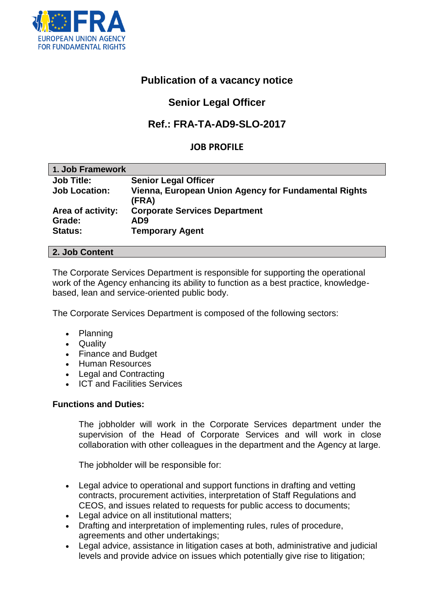

# **Publication of a vacancy notice**

# **Senior Legal Officer**

# **Ref.: FRA-TA-AD9-SLO-2017**

## **JOB PROFILE**

| 1. Job Framework     |                                                               |
|----------------------|---------------------------------------------------------------|
| <b>Job Title:</b>    | <b>Senior Legal Officer</b>                                   |
| <b>Job Location:</b> | Vienna, European Union Agency for Fundamental Rights<br>(FRA) |
| Area of activity:    | <b>Corporate Services Department</b>                          |
| Grade:               | AD9                                                           |
| <b>Status:</b>       | <b>Temporary Agent</b>                                        |

#### **2. Job Content**

The Corporate Services Department is responsible for supporting the operational work of the Agency enhancing its ability to function as a best practice, knowledgebased, lean and service-oriented public body.

The Corporate Services Department is composed of the following sectors:

- Planning
- Quality
- Finance and Budget
- Human Resources
- Legal and Contracting
- ICT and Facilities Services

#### **Functions and Duties:**

The jobholder will work in the Corporate Services department under the supervision of the Head of Corporate Services and will work in close collaboration with other colleagues in the department and the Agency at large.

The jobholder will be responsible for:

- Legal advice to operational and support functions in drafting and vetting contracts, procurement activities, interpretation of Staff Regulations and CEOS, and issues related to requests for public access to documents;
- Legal advice on all institutional matters;
- Drafting and interpretation of implementing rules, rules of procedure, agreements and other undertakings;
- Legal advice, assistance in litigation cases at both, administrative and judicial levels and provide advice on issues which potentially give rise to litigation;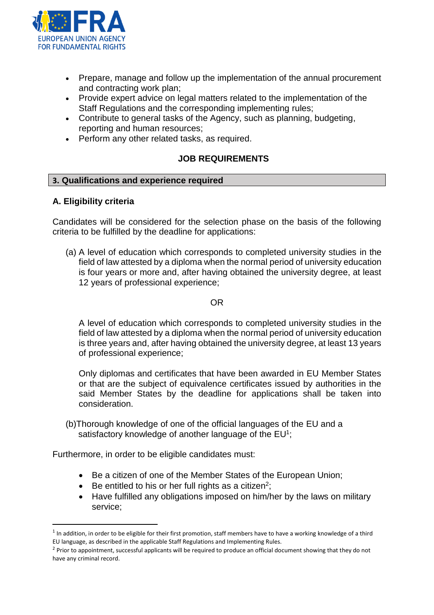

- Prepare, manage and follow up the implementation of the annual procurement and contracting work plan;
- Provide expert advice on legal matters related to the implementation of the Staff Regulations and the corresponding implementing rules;
- Contribute to general tasks of the Agency, such as planning, budgeting, reporting and human resources;
- Perform any other related tasks, as required.

## **JOB REQUIREMENTS**

#### **3. Qualifications and experience required**

## **A. Eligibility criteria**

l

Candidates will be considered for the selection phase on the basis of the following criteria to be fulfilled by the deadline for applications:

(a) A level of education which corresponds to completed university studies in the field of law attested by a diploma when the normal period of university education is four years or more and, after having obtained the university degree, at least 12 years of professional experience;

#### OR

A level of education which corresponds to completed university studies in the field of law attested by a diploma when the normal period of university education is three years and, after having obtained the university degree, at least 13 years of professional experience;

Only diplomas and certificates that have been awarded in EU Member States or that are the subject of equivalence certificates issued by authorities in the said Member States by the deadline for applications shall be taken into consideration.

(b)Thorough knowledge of one of the official languages of the EU and a satisfactory knowledge of another language of the EU<sup>1</sup>;

Furthermore, in order to be eligible candidates must:

- Be a citizen of one of the Member States of the European Union;
- $\bullet$  Be entitled to his or her full rights as a citizen<sup>2</sup>;
- Have fulfilled any obligations imposed on him/her by the laws on military service;

<sup>&</sup>lt;sup>1</sup> In addition, in order to be eligible for their first promotion, staff members have to have a working knowledge of a third EU language, as described in the applicable Staff Regulations and Implementing Rules.

<sup>&</sup>lt;sup>2</sup> Prior to appointment, successful applicants will be required to produce an official document showing that they do not have any criminal record.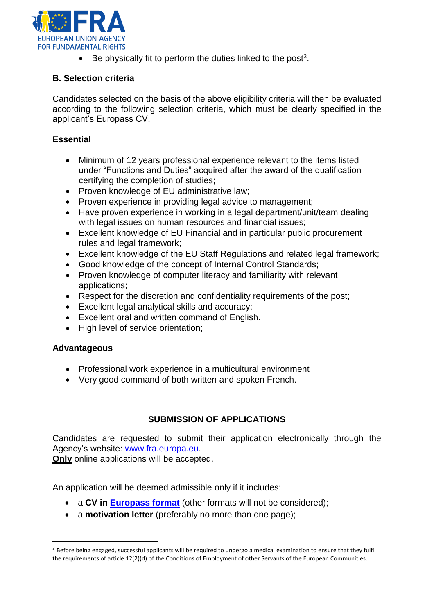

 $\bullet$  Be physically fit to perform the duties linked to the post<sup>3</sup>.

# **B. Selection criteria**

Candidates selected on the basis of the above eligibility criteria will then be evaluated according to the following selection criteria, which must be clearly specified in the applicant's Europass CV.

# **Essential**

- Minimum of 12 years professional experience relevant to the items listed under "Functions and Duties" acquired after the award of the qualification certifying the completion of studies;
- Proven knowledge of EU administrative law;
- Proven experience in providing legal advice to management;
- Have proven experience in working in a legal department/unit/team dealing with legal issues on human resources and financial issues;
- Excellent knowledge of EU Financial and in particular public procurement rules and legal framework;
- Excellent knowledge of the EU Staff Regulations and related legal framework;
- Good knowledge of the concept of Internal Control Standards;
- Proven knowledge of computer literacy and familiarity with relevant applications;
- Respect for the discretion and confidentiality requirements of the post;
- Excellent legal analytical skills and accuracy;
- Excellent oral and written command of English.
- High level of service orientation;

## **Advantageous**

 $\overline{a}$ 

- Professional work experience in a multicultural environment
- Very good command of both written and spoken French.

## **SUBMISSION OF APPLICATIONS**

Candidates are requested to submit their application electronically through the Agency's website: [www.fra.europa.eu.](http://www.fra.europa.eu/)

**Only** online applications will be accepted.

An application will be deemed admissible only if it includes:

- a **CV in [Europass format](http://europass.cedefop.europa.eu/en/documents/curriculum-vitae/templates-instructions)** (other formats will not be considered);
- a **motivation letter** (preferably no more than one page);

<sup>&</sup>lt;sup>3</sup> Before being engaged, successful applicants will be required to undergo a medical examination to ensure that they fulfil the requirements of article 12(2)(d) of the Conditions of Employment of other Servants of the European Communities.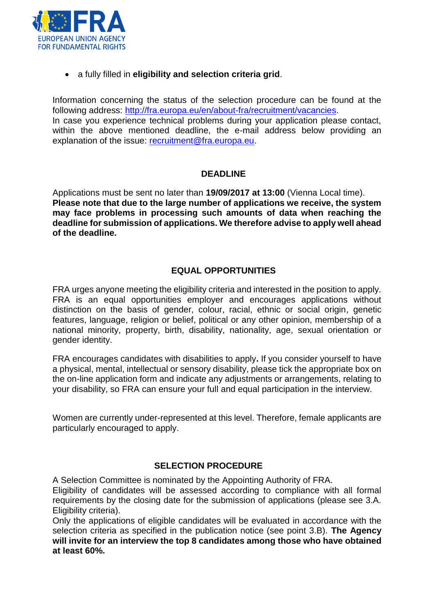

a fully filled in **eligibility and selection criteria grid**.

Information concerning the status of the selection procedure can be found at the following address: [http://fra.europa.eu/en/about-fra/recruitment/vacancies.](http://fra.europa.eu/en/about-fra/recruitment/vacancies) In case you experience technical problems during your application please contact, within the above mentioned deadline, the e-mail address below providing an explanation of the issue: [recruitment@fra.europa.eu.](mailto:recruitment@fra.europa.eu)

# **DEADLINE**

Applications must be sent no later than **19/09/2017 at 13:00** (Vienna Local time). **Please note that due to the large number of applications we receive, the system may face problems in processing such amounts of data when reaching the deadline for submission of applications. We therefore advise to apply well ahead of the deadline.** 

# **EQUAL OPPORTUNITIES**

FRA urges anyone meeting the eligibility criteria and interested in the position to apply. FRA is an equal opportunities employer and encourages applications without distinction on the basis of gender, colour, racial, ethnic or social origin, genetic features, language, religion or belief, political or any other opinion, membership of a national minority, property, birth, disability, nationality, age, sexual orientation or gender identity.

FRA encourages candidates with disabilities to apply**.** If you consider yourself to have a physical, mental, intellectual or sensory disability, please tick the appropriate box on the on-line application form and indicate any adjustments or arrangements, relating to your disability, so FRA can ensure your full and equal participation in the interview.

Women are currently under-represented at this level. Therefore, female applicants are particularly encouraged to apply.

## **SELECTION PROCEDURE**

A Selection Committee is nominated by the Appointing Authority of FRA.

Eligibility of candidates will be assessed according to compliance with all formal requirements by the closing date for the submission of applications (please see 3.A. Eligibility criteria).

Only the applications of eligible candidates will be evaluated in accordance with the selection criteria as specified in the publication notice (see point 3.B). **The Agency will invite for an interview the top 8 candidates among those who have obtained at least 60%.**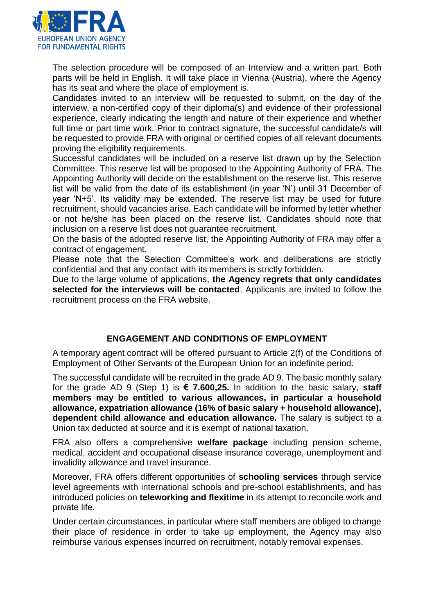

The selection procedure will be composed of an Interview and a written part. Both parts will be held in English. It will take place in Vienna (Austria), where the Agency has its seat and where the place of employment is.

Candidates invited to an interview will be requested to submit, on the day of the interview, a non-certified copy of their diploma(s) and evidence of their professional experience, clearly indicating the length and nature of their experience and whether full time or part time work. Prior to contract signature, the successful candidate/s will be requested to provide FRA with original or certified copies of all relevant documents proving the eligibility requirements.

Successful candidates will be included on a reserve list drawn up by the Selection Committee. This reserve list will be proposed to the Appointing Authority of FRA. The Appointing Authority will decide on the establishment on the reserve list. This reserve list will be valid from the date of its establishment (in year 'N') until 31 December of year 'N+5'. Its validity may be extended. The reserve list may be used for future recruitment, should vacancies arise. Each candidate will be informed by letter whether or not he/she has been placed on the reserve list. Candidates should note that inclusion on a reserve list does not guarantee recruitment.

On the basis of the adopted reserve list, the Appointing Authority of FRA may offer a contract of engagement.

Please note that the Selection Committee's work and deliberations are strictly confidential and that any contact with its members is strictly forbidden.

Due to the large volume of applications, **the Agency regrets that only candidates selected for the interviews will be contacted**. Applicants are invited to follow the recruitment process on the FRA website.

# **ENGAGEMENT AND CONDITIONS OF EMPLOYMENT**

A temporary agent contract will be offered pursuant to Article 2(f) of the Conditions of Employment of Other Servants of the European Union for an indefinite period.

The successful candidate will be recruited in the grade AD 9. The basic monthly salary for the grade AD 9 (Step 1) is **€ 7.600,25.** In addition to the basic salary, **staff members may be entitled to various allowances, in particular a household allowance, expatriation allowance (16% of basic salary + household allowance), dependent child allowance and education allowance.** The salary is subject to a Union tax deducted at source and it is exempt of national taxation.

FRA also offers a comprehensive **welfare package** including pension scheme, medical, accident and occupational disease insurance coverage, unemployment and invalidity allowance and travel insurance.

Moreover, FRA offers different opportunities of **schooling services** through service level agreements with international schools and pre-school establishments, and has introduced policies on **teleworking and flexitime** in its attempt to reconcile work and private life.

Under certain circumstances, in particular where staff members are obliged to change their place of residence in order to take up employment, the Agency may also reimburse various expenses incurred on recruitment, notably removal expenses.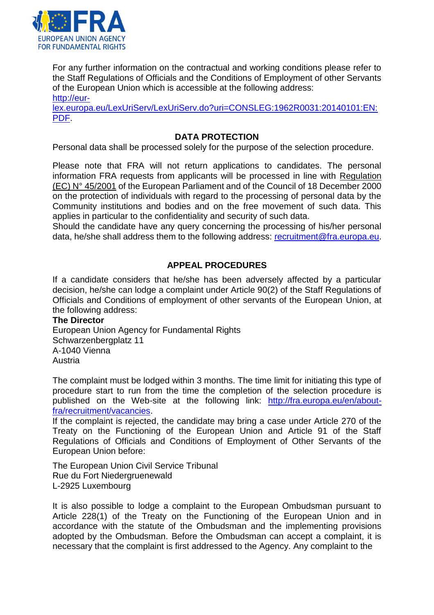

For any further information on the contractual and working conditions please refer to the Staff Regulations of Officials and the Conditions of Employment of other Servants of the European Union which is accessible at the following address:

[http://eur-](http://eur-lex.europa.eu/LexUriServ/LexUriServ.do?uri=CONSLEG:1962R0031:20140101:EN:PDF)

[lex.europa.eu/LexUriServ/LexUriServ.do?uri=CONSLEG:1962R0031:20140101:EN:](http://eur-lex.europa.eu/LexUriServ/LexUriServ.do?uri=CONSLEG:1962R0031:20140101:EN:PDF) [PDF.](http://eur-lex.europa.eu/LexUriServ/LexUriServ.do?uri=CONSLEG:1962R0031:20140101:EN:PDF)

## **DATA PROTECTION**

Personal data shall be processed solely for the purpose of the selection procedure.

Please note that FRA will not return applications to candidates. The personal information FRA requests from applicants will be processed in line with Regulation (EC) N° 45/2001 of the European Parliament and of the Council of 18 December 2000 on the protection of individuals with regard to the processing of personal data by the Community institutions and bodies and on the free movement of such data. This applies in particular to the confidentiality and security of such data.

Should the candidate have any query concerning the processing of his/her personal data, he/she shall address them to the following address: [recruitment@fra.europa.eu.](mailto:recruitment@fra.europa.eu)

## **APPEAL PROCEDURES**

If a candidate considers that he/she has been adversely affected by a particular decision, he/she can lodge a complaint under Article 90(2) of the Staff Regulations of Officials and Conditions of employment of other servants of the European Union, at the following address:

#### **The Director**

European Union Agency for Fundamental Rights Schwarzenbergplatz 11 A-1040 Vienna Austria

The complaint must be lodged within 3 months. The time limit for initiating this type of procedure start to run from the time the completion of the selection procedure is published on the Web-site at the following link: [http://fra.europa.eu/en/about](http://fra.europa.eu/en/about-fra/recruitment/vacancies)[fra/recruitment/vacancies.](http://fra.europa.eu/en/about-fra/recruitment/vacancies)

If the complaint is rejected, the candidate may bring a case under Article 270 of the Treaty on the Functioning of the European Union and Article 91 of the Staff Regulations of Officials and Conditions of Employment of Other Servants of the European Union before:

The European Union Civil Service Tribunal Rue du Fort Niedergruenewald L-2925 Luxembourg

It is also possible to lodge a complaint to the European Ombudsman pursuant to Article 228(1) of the Treaty on the Functioning of the European Union and in accordance with the statute of the Ombudsman and the implementing provisions adopted by the Ombudsman. Before the Ombudsman can accept a complaint, it is necessary that the complaint is first addressed to the Agency. Any complaint to the